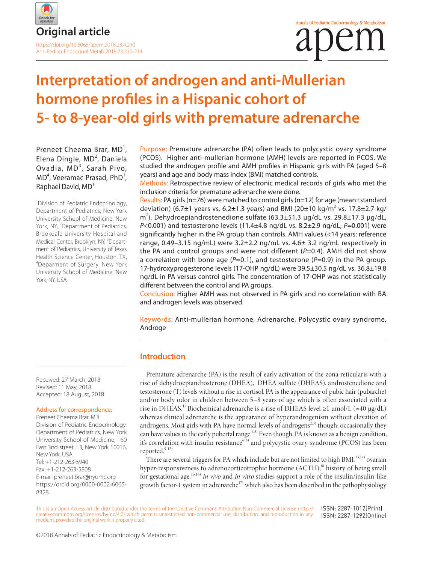

# **Interpretation of androgen and anti-Mullerian hormone profiles in a Hispanic cohort of 5- to 8-year-old girls with premature adrenarche**

Preneet Cheema Brar, MD<sup>1</sup>, Elena Dingle, MD<sup>2</sup>, Daniela Ovadia, MD<sup>3</sup>, Sarah Pivo, MD<sup>4</sup>, Veeramac Prasad, PhD<sup>1</sup>, Raphael David, MD<sup>1</sup>

<sup>1</sup> Division of Pediatric Endocrinology, Department of Pediatrics, New York University School of Medicine, New York, NY, <sup>2</sup>Department of Pediatrics, Brookdale University Hospital and Medical Center, Brooklyn, NY, <sup>3</sup>Department of Pediatrics, University of Texas Health Science Center, Houston, TX, 4 Deparment of Surgery, New York University School of Medicine, New York, NY, USA

Purpose: Premature adrenarche (PA) often leads to polycystic ovary syndrome (PCOS). Higher anti-mullerian hormone (AMH) levels are reported in PCOS. We studied the androgen profile and AMH profiles in Hispanic girls with PA (aged 5–8 years) and age and body mass index (BMI) matched controls.

Methods: Retrospective review of electronic medical records of girls who met the inclusion criteria for premature adrenarche were done.

Results: PA girls (n=76) were matched to control girls (n=12) for age (mean±standard deviation) (6.7±1 years vs. 6.2±1.3 years) and BMI (20±10 kg/m<sup>2</sup> vs. 17.8±2.7 kg/ m<sup>2</sup>). Dehydroepiandrostenedione sulfate (63.3±51.3 µg/dL vs. 29.8±17.3 µg/dL, *P*<0.001) and testosterone levels (11.4±4.8 ng/dL vs. 8.2±2.9 ng/dL, *P*=0.001) were significantly higher in the PA group than controls. AMH values (<14 years: reference range, 0.49–3.15 ng/mL) were 3.2±2.2 ng/mL vs. 4.6± 3.2 ng/mL respectively in the PA and control groups and were not different (*P*=0.4). AMH did not show a correlation with bone age (*P*=0.1), and testosterone (*P*=0.9) in the PA group. 17-hydroxyprogesterone levels (17-OHP ng/dL) were 39.5±30.5 ng/dL vs. 36.8±19.8 ng/dL in PA versus control girls. The concentration of 17-OHP was not statistically different between the control and PA groups.

Conclusion: Higher AMH was not observed in PA girls and no correlation with BA and androgen levels was observed.

Keywords: Anti-mullerian hormone, Adrenarche, Polycystic ovary syndrome, Androge

### **Introduction**

Premature adrenarche (PA) is the result of early activation of the zona reticularis with a rise of dehydroepiandrosterone (DHEA), DHEA sulfate (DHEAS), androstenedione and testosterone (T) levels without a rise in cortisol. PA is the appearance of pubic hair (pubarche) and/or body odor in children between 5–8 years of age which is often associated with a rise in DHEAS.<sup>1)</sup> Biochemical adrenarche is a rise of DHEAS level  $\geq 1 \mu$ mol/L ( $\approx 40 \mu$ g/dL) whereas clinical adrenarche is the appearance of hyperandrogenism without elevation of androgens. Most girls with PA have normal levels of androgens<sup> $2,3$ </sup> though; occasionally they can have values in the early pubertal range.<sup>4,5)</sup> Even though, PA is known as a benign condition, it's correlation with insulin resistance<sup>6-8)</sup> and polycystic ovary syndrome (PCOS) has been reported.<sup>9-12)</sup>

There are several triggers for PA which include but are not limited to high BMI,<sup>13,14)</sup> ovarian hyper-responsiveness to adrenocorticotrophic hormone  $(ACTH)$ <sup>6)</sup> history of being small for gestational age.15,16) *In vivo* and *In vitro* studies support a role of the insulin/insulin-like growth factor-1 system in adrenarche<sup>17)</sup> which also has been described in the pathophysiology

This is an Open Access article distributed under the terms of the Creative Commons Attribution Non-Commercial License (http:// creativecommons.org/licenses/by-nc/4.0) which permits unrestricted non-commercial use, distribution, and reproduction in any medium, provided the original work is properly cited. ISSN: 2287-1012(Print) ISSN: 2287-1292(Online)

Received: 27 March, 2018 Revised: 11 May, 2018 Accepted: 18 August, 2018

#### Address for correspondence:

Preneet Cheema Brar, MD Division of Pediatric Endocrinology, Department of Pediatrics, New York University School of Medicine, 160 East 3nd street, L3, New York 10016, New York, USA Tel: +1-212-263-5940 Fax: +1-212-263-5808 E-mail: preneet.brar@nyumc.org https://orcid.org/0000-0002-6065-8328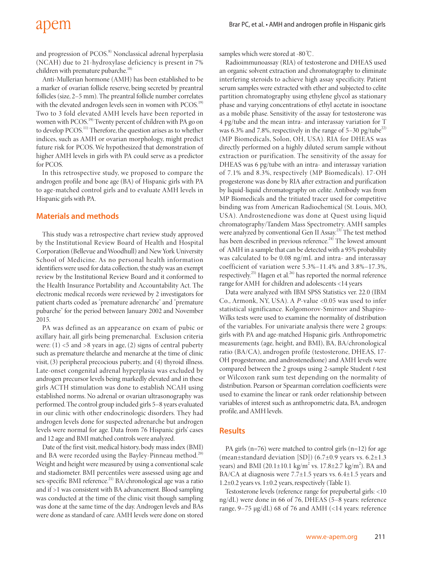### apem

and progression of PCOS.<sup>8)</sup> Nonclassical adrenal hyperplasia (NCAH) due to 21-hydroxylase deficiency is present in 7% children with premature pubarche.<sup>18)</sup>

Anti-Mullerian hormone (AMH) has been established to be a marker of ovarian follicle reserve, being secreted by preantral follicles (size, 2–5 mm). The preantral follicle number correlates with the elevated androgen levels seen in women with PCOS.<sup>19)</sup> Two to 3 fold elevated AMH levels have been reported in women with PCOS.<sup>19)</sup> Twenty percent of children with PA go on to develop PCOS.<sup>11)</sup> Therefore, the question arises as to whether indices, such as AMH or ovarian morphology, might predict future risk for PCOS. We hypothesized that demonstration of higher AMH levels in girls with PA could serve as a predictor for PCOS.

In this retrospective study, we proposed to compare the androgen profile and bone age (BA) of Hispanic girls with PA to age-matched control girls and to evaluate AMH levels in Hispanic girls with PA.

### **Materials and methods**

This study was a retrospective chart review study approved by the Institutional Review Board of Health and Hospital Corporation (Bellevue and Woodhull) and New York University School of Medicine. As no personal health information identifiers were used for data collection, the study was an exempt review by the Institutional Review Board and it conformed to the Health Insurance Portability and Accountability Act. The electronic medical records were reviewed by 2 investigators for patient charts coded as "premature adrenarche" and "premature pubarche" for the period between January 2002 and November 2015.

PA was defined as an appearance on exam of pubic or axillary hair, all girls being premenarchal. Exclusion criteria were:  $(1)$  <5 and >8 years in age,  $(2)$  signs of central puberty such as premature thelarche and menarche at the time of clinic visit, (3) peripheral precocious puberty, and (4) thyroid illness. Late-onset congenital adrenal hyperplasia was excluded by androgen precursor levels being markedly elevated and in these girls ACTH stimulation was done to establish NCAH using established norms. No adrenal or ovarian ultrasonography was performed. The control group included girls 5–8 years evaluated in our clinic with other endocrinologic disorders. They had androgen levels done for suspected adrenarche but androgen levels were normal for age. Data from 76 Hispanic girls' cases and 12 age and BMI matched controls were analyzed.

Date of the first visit, medical history, body mass index (BMI) and BA were recorded using the Bayley-Pinneau method.<sup>20)</sup> Weight and height were measured by using a conventional scale and stadiometer. BMI percentiles were assessed using age and sex-specific BMI reference.<sup>21)</sup> BA/chronological age was a ratio and if >1 was consistent with BA advancement. Blood sampling was conducted at the time of the clinic visit though sampling was done at the same time of the day. Androgen levels and BAs were done as standard of care. AMH levels were done on stored

samples which were stored at -80℃.

Radioimmunoassay (RIA) of testosterone and DHEAS used an organic solvent extraction and chromatography to eliminate interfering steroids to achieve high assay specificity. Patient serum samples were extracted with ether and subjected to celite partition chromatography using ethylene glycol as stationary phase and varying concentrations of ethyl acetate in isooctane as a mobile phase. Sensitivity of the assay for testosterone was 4 pg/tube and the mean intra- and interassay variation for T was 6.3% and 7.8%, respectively in the range of  $5-30$  pg/tube<sup>22)</sup> (MP Biomedicals, Solon, OH, USA). RIA for DHEAS was directly performed on a highly diluted serum sample without extraction or purification. The sensitivity of the assay for DHEAS was 6 pg/tube with an intra- and interassay variation of 7.1% and 8.3%, respectively (MP Biomedicals). 17-OH progesterone was done by RIA after extraction and purification by liquid-liquid chromatography on celite. Antibody was from MP Biomedicals and the tritiated tracer used for competitive binding was from American Radiochemical (St. Louis, MO, USA). Androstenedione was done at Quest using liquid chromatography/Tandem Mass Spectrometry. AMH samples were analyzed by conventional Gen II Assay.<sup>23)</sup> The test method has been described in previous reference.<sup>24)</sup> The lowest amount of AMH in a sample that can be detected with a 95% probability was calculated to be 0.08 ng/mL and intra- and interassay coefficient of variation were 5.3%–11.4% and 3.8%–17.3%, respectively.<sup>25)</sup> Hagen et al.<sup>26)</sup> has reported the normal reference range for AMH for children and adolescents <14 years

Data were analyzed with IBM SPSS Statistics ver. 22.0 (IBM Co., Armonk, NY, USA). A *P*-value <0.05 was used to infer statistical significance. Kolgomorov-Smirnov and Shapiro-Wilks tests were used to examine the normality of distribution of the variables. For univariate analysis there were 2 groups: girls with PA and age-matched Hispanic girls. Anthropometric measurements (age, height, and BMI), BA, BA/chronological ratio (BA/CA), androgen profile (testosterone, DHEAS, 17- OH progesterone, and androstenedione) and AMH levels were compared between the 2 groups using 2-sample Student *t*-test or Wilcoxon rank sum test depending on the normality of distribution. Pearson or Spearman correlation coefficients were used to examine the linear or rank order relationship between variables of interest such as anthropometric data, BA, androgen profile, and AMH levels.

### **Results**

PA girls ( $n=76$ ) were matched to control girls ( $n=12$ ) for age (mean $\pm$ standard deviation [SD]) (6.7 $\pm$ 0.9 years vs. 6.2 $\pm$ 1.3 years) and BMI (20.1±10.1 kg/m<sup>2</sup> vs. 17.8±2.7 kg/m<sup>2</sup>). BA and BA/CA at diagnosis were 7.7±1.5 years vs. 6.4±1.5 years and 1.2±0.2 years vs. 1±0.2 years, respectively (Table 1).

Testosterone levels (reference range for prepubertal girls: <10 ng/dL) were done in 66 of 76, DHEAS (5–8 years: reference range, 9–75 µg/dL) 68 of 76 and AMH (<14 years: reference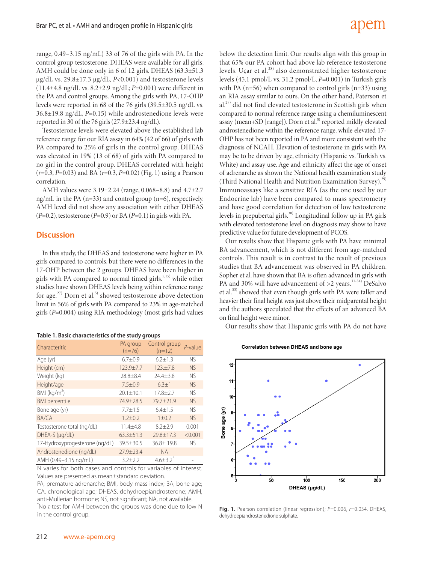## adem

range, 0.49–3.15 ng/mL) 33 of 76 of the girls with PA. In the control group testosterone, DHEAS were available for all girls, AMH could be done only in 6 of 12 girls. DHEAS (63.3±51.3 µg/dL vs. 29.8±17.3 µg/dL, *P*<0.001) and testosterone levels (11.4±4.8 ng/dL vs. 8.2±2.9 ng/dL; *P*=0.001) were different in the PA and control groups. Among the girls with PA, 17-OHP levels were reported in 68 of the 76 girls (39.5±30.5 ng/dL vs. 36.8±19.8 ng/dL, *P*=0.15) while androstenedione levels were reported in 30 of the 76 girls  $(27.9 \pm 23.4 \text{ ng/dL}).$ 

Testosterone levels were elevated above the established lab reference range for our RIA assay in 64% (42 of 66) of girls with PA compared to 25% of girls in the control group. DHEAS was elevated in 19% (13 of 68) of girls with PA compared to no girl in the control group. DHEAS correlated with height (*r*=0.3, *P*=0.03) and BA (*r*=0.3, *P*=0.02) (Fig. 1) using a Pearson correlation.

AMH values were 3.19±2.24 (range, 0.068–8.8) and 4.7±2.7 ng/mL in the PA (n=33) and control group (n=6), respectively. AMH level did not show any association with either DHEAS (*P*=0.2), testosterone (*P*=0.9) or BA (*P*=0.1) in girls with PA.

### **Discussion**

In this study, the DHEAS and testosterone were higher in PA girls compared to controls, but there were no differences in the 17-OHP between the 2 groups. DHEAS have been higher in girls with PA compared to normal timed girls. $5,15)$  while other studies have shown DHEAS levels being within reference range for age.<sup>27)</sup> Dorn et al.<sup>5)</sup> showed testosterone above detection limit in 56% of girls with PA compared to 23% in age-matched girls (*P*=0.004) using RIA methodology (most girls had values

| Table 1. Basic characteristics of the study groups |  |  |  |  |  |  |
|----------------------------------------------------|--|--|--|--|--|--|
|----------------------------------------------------|--|--|--|--|--|--|

| Characteritic                  | PA group<br>$(n=76)$ | Control group<br>$(n=12)$ | $P$ -value |
|--------------------------------|----------------------|---------------------------|------------|
| Age (yr)                       | $6.7 + 0.9$          | $6.2 \pm 1.3$             | NS.        |
| Height (cm)                    | $123.9 \pm 7.7$      | 123.±7.8                  | <b>NS</b>  |
| Weight (kg)                    | $28.8 + 8.4$         | $24.4 \pm 3.8$            | <b>NS</b>  |
| Height/age                     | $7.5 \pm 0.9$        | $6.3 \pm 1$               | NS.        |
| BMI (kg/m <sup>2</sup> )       | $20.1 + 10.1$        | $17.8 + 2.7$              | NS.        |
| <b>BMI</b> percentile          | 74.9±28.5            | 79.7±21.9                 | <b>NS</b>  |
| Bone age (yr)                  | $7.7 + 1.5$          | $6.4 + 1.5$               | NS.        |
| <b>BA/CA</b>                   | $1.2 \pm 0.2$        | $1 \pm 0.2$               | NS.        |
| Testosterone total (ng/dL)     | $11.4 + 4.8$         | $8.2 + 2.9$               | 0.001      |
| $DHEA-S$ ( $\mu$ g/dL)         | $63.3 \pm 51.3$      | $29.8 \pm 17.3$           | < 0.001    |
| 17-Hydroxyprogesterone (ng/dL) | $39.5 + 30.5$        | $36.8 \pm 19.8$           | <b>NS</b>  |
| Androstenedione (ng/dL)        | 27.9±23.4            | <b>NA</b>                 |            |
| AMH (0.49-3.15 ng/mL)          | $3.2 + 2.2$          | $4.6 \pm 3.2$             |            |

N varies for both cases and controls for variables of interest. Values are presented as mean±standard deviation.

PA, premature adrenarche; BMI, body mass index; BA, bone age; CA, chronological age; DHEAS, dehydroepiandrosterone; AMH, anti-Mullerian hormone; NS, not significant; NA, not available. \* No *t*-test for AMH between the groups was done due to low N in the control group.

below the detection limit. Our results align with this group in that 65% our PA cohort had above lab reference testosterone levels. Uçar et al.<sup>28)</sup> also demonstrated higher testosterone levels (45.1 pmol/L vs. 31.2 pmol/L, *P*=0.001) in Turkish girls with PA  $(n=56)$  when compared to control girls  $(n=33)$  using an RIA assay similar to ours. On the other hand, Paterson et  $al^{(27)}$  did not find elevated testosterone in Scottish girls when compared to normal reference range using a chemiluminescent assay (mean+SD [range]). Dorn et al.<sup>5)</sup> reported mildly elevated androstenedione within the reference range, while elevated 17- OHP has not been reported in PA and more consistent with the diagnosis of NCAH. Elevation of testosterone in girls with PA may be to be driven by age, ethnicity (Hispanic vs. Turkish vs. White) and assay use. Age and ethnicity affect the age of onset of adrenarche as shown the National health examination study (Third National Health and Nutrition Examination Survey).<sup>29</sup> Immunoassays like a sensitive RIA (as the one used by our Endocrine lab) have been compared to mass spectrometry and have good correlation for detection of low testosterone levels in prepubertal girls.<sup>30)</sup> Longitudinal follow up in PA girls with elevated testosterone level on diagnosis may show to have predictive value for future development of PCOS.

Our results show that Hispanic girls with PA have minimal BA advancement, which is not different from age-matched controls. This result is in contrast to the result of previous studies that BA advancement was observed in PA children. Sopher et al. have shown that BA is often advanced in girls with PA and 30% will have advancement of  $>2$  years.<sup>31-34)</sup> DeSalvo et al.<sup>33)</sup> showed that even though girls with PA were taller and heavier their final height was just above their midparental height and the authors speculated that the effects of an advanced BA on final height were minor.

Our results show that Hispanic girls with PA do not have

**Correlation between DHEAS and bone age**



**Fig. 1.** Pearson correlation (linear regression);  $P=0.006$ ,  $r=0.034$ . DHEAS, dehydroepiandrostenedione sulphate.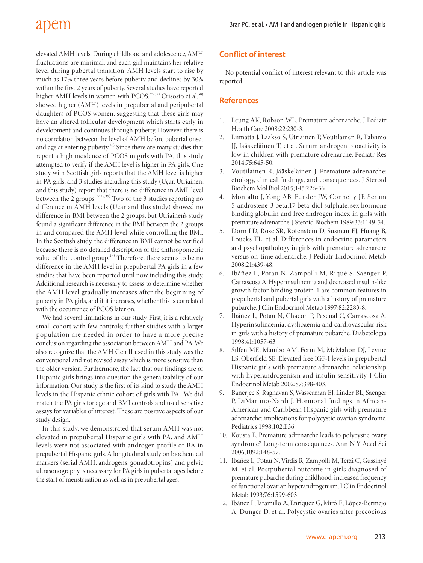## apem

elevated AMH levels. During childhood and adolescence, AMH fluctuations are minimal, and each girl maintains her relative level during pubertal transition. AMH levels start to rise by much as 17% three years before puberty and declines by 30% within the first 2 years of puberty. Several studies have reported higher AMH levels in women with PCOS.<sup>35-37)</sup> Crisosto et al.<sup>38)</sup> showed higher (AMH) levels in prepubertal and peripubertal daughters of PCOS women, suggesting that these girls may have an altered follicular development which starts early in development and continues through puberty. However, there is no correlation between the level of AMH before pubertal onset and age at entering puberty.<sup>26)</sup> Since there are many studies that report a high incidence of PCOS in girls with PA, this study attempted to verify if the AMH level is higher in PA girls. One study with Scottish girls reports that the AMH level is higher in PA girls, and 3 studies including this study (Uçar, Utriainen, and this study) report that there is no difference in AML level between the  $2$  groups.<sup>27,28,39)</sup> Two of the 3 studies reporting no difference in AMH levels (Ucar and this study) showed no difference in BMI between the 2 groups, but Utriainen's study found a significant difference in the BMI between the 2 groups in and compared the AMH level while controlling the BMI. In the Scottish study, the difference in BMI cannot be verified because there is no detailed description of the anthropometric value of the control group.<sup>27)</sup> Therefore, there seems to be no difference in the AMH level in prepubertal PA girls in a few studies that have been reported until now including this study. Additional research is necessary to assess to determine whether the AMH level gradually increases after the beginning of puberty in PA girls, and if it increases, whether this is correlated with the occurrence of PCOS later on.

We had several limitations in our study. First, it is a relatively small cohort with few controls; further studies with a larger population are needed in order to have a more precise conclusion regarding the association between AMH and PA. We also recognize that the AMH Gen II used in this study was the conventional and not revised assay which is more sensitive than the older version. Furthermore, the fact that our findings are of Hispanic girls brings into question the generalizability of our information. Our study is the first of its kind to study the AMH levels in the Hispanic ethnic cohort of girls with PA. We did match the PA girls for age and BMI controls and used sensitive assays for variables of interest. These are positive aspects of our study design.

In this study, we demonstrated that serum AMH was not elevated in prepubertal Hispanic girls with PA, and AMH levels were not associated with androgen profile or BA in prepubertal Hispanic girls. A longitudinal study on biochemical markers (serial AMH, androgens, gonadotropins) and pelvic ultrasonography is necessary for PA girls in pubertal ages before the start of menstruation as well as in prepubertal ages.

### **Conflict of interest**

No potential conflict of interest relevant to this article was reported.

### **References**

- 1. Leung AK, Robson WL. Premature adrenarche. J Pediatr Health Care 2008;22:230-3.
- 2. Liimatta J, Laakso S, Utriainen P, Voutilainen R, Palvimo JJ, Jääskeläinen T, et al. Serum androgen bioactivity is low in children with premature adrenarche. Pediatr Res 2014;75:645-50.
- 3. Voutilainen R, Jääskeläinen J. Premature adrenarche: etiology, clinical findings, and consequences. J Steroid Biochem Mol Biol 2015;145:226-36.
- 4. Montalto J, Yong AB, Funder JW, Connelly JF. Serum 5-androstene-3 beta,17 beta-diol sulphate, sex hormone binding globulin and free androgen index in girls with premature adrenarche. J Steroid Biochem 1989;33:1149-54..
- 5. Dorn LD, Rose SR, Rotenstein D, Susman EJ, Huang B, Loucks TL, et al. Differences in endocrine parameters and psychopathology in girls with premature adrenarche versus on-time adrenarche. J Pediatr Endocrinol Metab 2008;21:439-48.
- 6. Ibáñez L, Potau N, Zampolli M, Riqué S, Saenger P, Carrascosa A. Hyperinsulinemia and decreased insulin-like growth factor-binding protein-1 are common features in prepubertal and pubertal girls with a history of premature pubarche. J Clin Endocrinol Metab 1997;82:2283-8.
- 7. Ibáñez L, Potau N, Chacon P, Pascual C, Carrascosa A. Hyperinsulinaemia, dyslipaemia and cardiovascular risk in girls with a history of premature pubarche. Diabetologia 1998;41:1057-63.
- 8. Silfen ME, Manibo AM, Ferin M, McMahon DJ, Levine LS, Oberfield SE. Elevated free IGF-I levels in prepubertal Hispanic girls with premature adrenarche: relationship with hyperandrogenism and insulin sensitivity. J Clin Endocrinol Metab 2002;87:398-403.
- 9. Banerjee S, Raghavan S, Wasserman EJ, Linder BL, Saenger P, DiMartino-Nardi J. Hormonal findings in African-American and Caribbean Hispanic girls with premature adrenarche: implications for polycystic ovarian syndrome. Pediatrics 1998;102:E36.
- 10. Kousta E. Premature adrenarche leads to polycystic ovary syndrome? Long-term consequences. Ann N Y Acad Sci 2006;1092:148-57.
- 11. Ibañez L, Potau N, Virdis R, Zampolli M, Terzi C, Gussinyé M, et al. Postpubertal outcome in girls diagnosed of premature pubarche during childhood: increased frequency of functional ovarian hyperandrogenism. J Clin Endocrinol Metab 1993;76:1599-603.
- 12. Ibáñez L, Jaramillo A, Enríquez G, Miró E, López-Bermejo A, Dunger D, et al. Polycystic ovaries after precocious